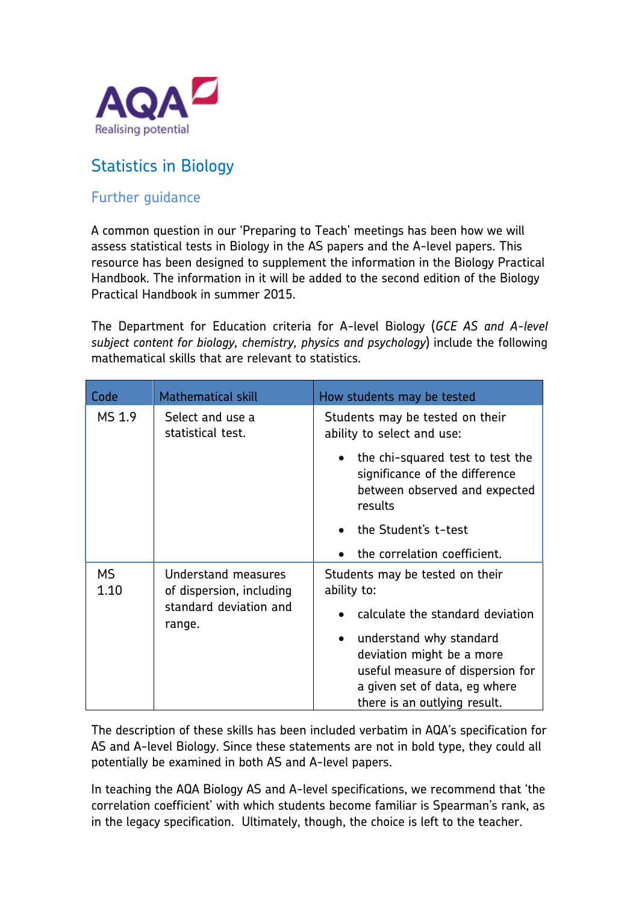

## Statistics in Biology

## Further guidance

A common question in our 'Preparing to Teach' meetings has been how we will assess statistical tests in Biology in the AS papers and the A-level papers. This resource has been designed to supplement the information in the Biology Practical Handbook. The information in it will be added to the second edition of the Biology Practical Handbook in summer 2015.

The Department for Education criteria for A-level Biology (*GCE AS and A-level subject content for biology, chemistry, physics and psychology*) include the following mathematical skills that are relevant to statistics.

| Code              | <b>Mathematical skill</b>                                                           | How students may be tested                                                                                     |
|-------------------|-------------------------------------------------------------------------------------|----------------------------------------------------------------------------------------------------------------|
| MS 1.9            | Select and use a<br>statistical test.                                               | Students may be tested on their<br>ability to select and use:                                                  |
|                   |                                                                                     | the chi-squared test to test the<br>significance of the difference<br>between observed and expected<br>results |
|                   |                                                                                     | the Student's t-test                                                                                           |
|                   |                                                                                     | the correlation coefficient.                                                                                   |
| <b>MS</b><br>1.10 | Understand measures<br>of dispersion, including<br>standard deviation and<br>range. | Students may be tested on their<br>ability to:                                                                 |
|                   |                                                                                     | calculate the standard deviation                                                                               |
|                   |                                                                                     | understand why standard                                                                                        |
|                   |                                                                                     | deviation might be a more                                                                                      |
|                   |                                                                                     | useful measure of dispersion for<br>a given set of data, eg where                                              |
|                   |                                                                                     | there is an outlying result.                                                                                   |

The description of these skills has been included verbatim in AQA's specification for AS and A-level Biology. Since these statements are not in bold type, they could all potentially be examined in both AS and A-level papers.

In teaching the AQA Biology AS and A-level specifications, we recommend that 'the correlation coefficient' with which students become familiar is Spearman's rank, as in the legacy specification. Ultimately, though, the choice is left to the teacher.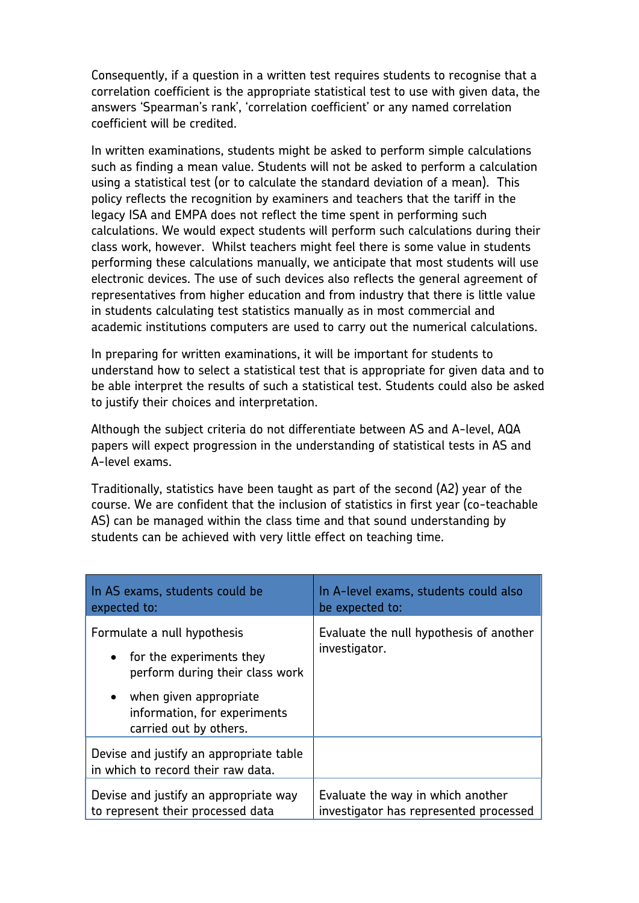Consequently, if a question in a written test requires students to recognise that a correlation coefficient is the appropriate statistical test to use with given data, the answers 'Spearman's rank', 'correlation coefficient' or any named correlation coefficient will be credited.

In written examinations, students might be asked to perform simple calculations such as finding a mean value. Students will not be asked to perform a calculation using a statistical test (or to calculate the standard deviation of a mean). This policy reflects the recognition by examiners and teachers that the tariff in the legacy ISA and EMPA does not reflect the time spent in performing such calculations. We would expect students will perform such calculations during their class work, however. Whilst teachers might feel there is some value in students performing these calculations manually, we anticipate that most students will use electronic devices. The use of such devices also reflects the general agreement of representatives from higher education and from industry that there is little value in students calculating test statistics manually as in most commercial and academic institutions computers are used to carry out the numerical calculations.

In preparing for written examinations, it will be important for students to understand how to select a statistical test that is appropriate for given data and to be able interpret the results of such a statistical test. Students could also be asked to justify their choices and interpretation.

Although the subject criteria do not differentiate between AS and A-level, AQA papers will expect progression in the understanding of statistical tests in AS and A-level exams.

Traditionally, statistics have been taught as part of the second (A2) year of the course. We are confident that the inclusion of statistics in first year (co-teachable AS) can be managed within the class time and that sound understanding by students can be achieved with very little effect on teaching time.

| In AS exams, students could be<br>expected to:                                                                                                                                     | In A-level exams, students could also<br>be expected to:                    |
|------------------------------------------------------------------------------------------------------------------------------------------------------------------------------------|-----------------------------------------------------------------------------|
| Formulate a null hypothesis<br>• for the experiments they<br>perform during their class work<br>• when given appropriate<br>information, for experiments<br>carried out by others. | Evaluate the null hypothesis of another<br>investigator.                    |
| Devise and justify an appropriate table<br>in which to record their raw data.<br>Devise and justify an appropriate way<br>to represent their processed data                        | Evaluate the way in which another<br>investigator has represented processed |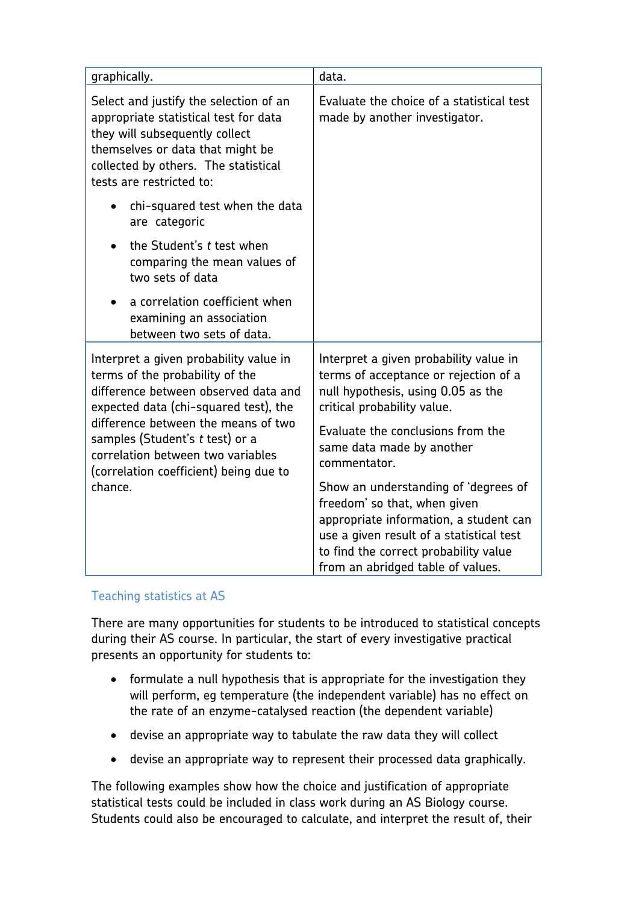| graphically.                                                                                                                                                                                                              | data.                                                                                                                                                                                                                                    |
|---------------------------------------------------------------------------------------------------------------------------------------------------------------------------------------------------------------------------|------------------------------------------------------------------------------------------------------------------------------------------------------------------------------------------------------------------------------------------|
| Select and justify the selection of an<br>appropriate statistical test for data<br>they will subsequently collect<br>themselves or data that might be<br>collected by others. The statistical<br>tests are restricted to: | Evaluate the choice of a statistical test<br>made by another investigator.                                                                                                                                                               |
| chi-squared test when the data<br>are categoric                                                                                                                                                                           |                                                                                                                                                                                                                                          |
| the Student's t test when<br>comparing the mean values of<br>two sets of data                                                                                                                                             |                                                                                                                                                                                                                                          |
| a correlation coefficient when<br>examining an association<br>between two sets of data.                                                                                                                                   |                                                                                                                                                                                                                                          |
| Interpret a given probability value in<br>terms of the probability of the<br>difference between observed data and<br>expected data (chi-squared test), the                                                                | Interpret a given probability value in<br>terms of acceptance or rejection of a<br>null hypothesis, using 0.05 as the<br>critical probability value.                                                                                     |
| difference between the means of two<br>samples (Student's t test) or a<br>correlation between two variables<br>(correlation coefficient) being due to                                                                     | Evaluate the conclusions from the<br>same data made by another<br>commentator.                                                                                                                                                           |
| chance.                                                                                                                                                                                                                   | Show an understanding of 'degrees of<br>freedom' so that, when given<br>appropriate information, a student can<br>use a given result of a statistical test<br>to find the correct probability value<br>from an abridged table of values. |

## Teaching statistics at AS

There are many opportunities for students to be introduced to statistical concepts during their AS course. In particular, the start of every investigative practical presents an opportunity for students to:

- formulate a null hypothesis that is appropriate for the investigation they will perform, eg temperature (the independent variable) has no effect on the rate of an enzyme-catalysed reaction (the dependent variable)
- devise an appropriate way to tabulate the raw data they will collect
- devise an appropriate way to represent their processed data graphically.

The following examples show how the choice and justification of appropriate statistical tests could be included in class work during an AS Biology course. Students could also be encouraged to calculate, and interpret the result of, their